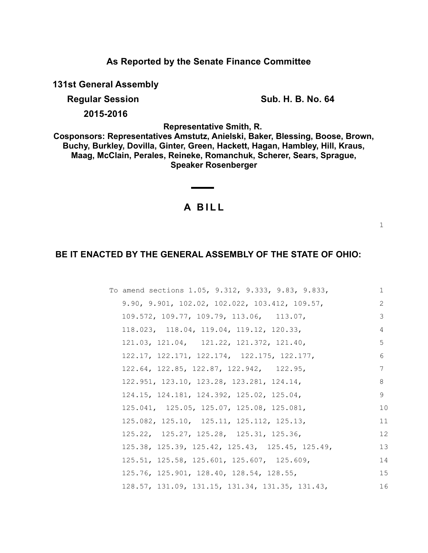**As Reported by the Senate Finance Committee**

**131st General Assembly**

**Regular Session Sub. H. B. No. 64** 

**2015-2016**

**Representative Smith, R.** 

**Cosponsors: Representatives Amstutz, Anielski, Baker, Blessing, Boose, Brown, Buchy, Burkley, Dovilla, Ginter, Green, Hackett, Hagan, Hambley, Hill, Kraus, Maag, McClain, Perales, Reineke, Romanchuk, Scherer, Sears, Sprague, Speaker Rosenberger**

# **A B I L L**

<u> Albanya di Ba</u>

1

## **BE IT ENACTED BY THE GENERAL ASSEMBLY OF THE STATE OF OHIO:**

| To amend sections 1.05, 9.312, 9.333, 9.83, 9.833,                | $\mathbf{1}$ |
|-------------------------------------------------------------------|--------------|
| 9.90, 9.901, 102.02, 102.022, 103.412, 109.57,                    | 2            |
| 109.572, 109.77, 109.79, 113.06, 113.07,                          | 3            |
| 118.023, 118.04, 119.04, 119.12, 120.33,                          | 4            |
| 121.03, 121.04, 121.22, 121.372, 121.40,                          | 5            |
| 122.17, 122.171, 122.174, 122.175, 122.177,                       | 6            |
| 122.64, 122.85, 122.87, 122.942, 122.95,                          | 7            |
| 122.951, 123.10, 123.28, 123.281, 124.14,                         | 8            |
| 124.15, 124.181, 124.392, 125.02, 125.04,                         | 9            |
| 125.041, 125.05, 125.07, 125.08, 125.081,                         | 10           |
| 125.082, 125.10, 125.11, 125.112, 125.13,                         | 11           |
| 125.22, 125.27, 125.28, 125.31, 125.36,                           | 12           |
| 125.38, 125.39, 125.42, 125.43, 125.45, 125.49,                   | 13           |
| 125.51, 125.58, 125.601, 125.607, 125.609,                        | 14           |
| 125.76, 125.901, 128.40, 128.54, 128.55,                          | 15           |
| $128.57$ , $131.09$ , $131.15$ , $131.34$ , $131.35$ , $131.43$ , | 16           |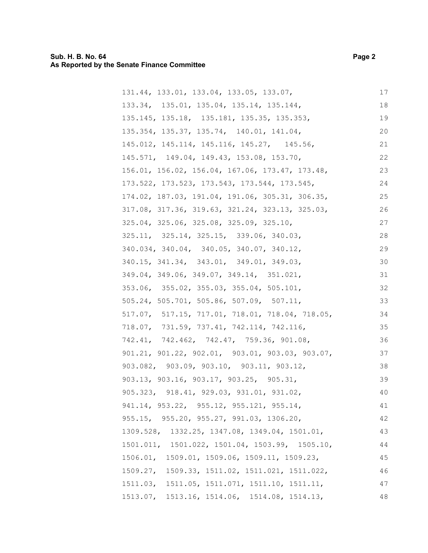## **Sub. H. B. No. 64 Page 2 As Reported by the Senate Finance Committee**

| 131.44, 133.01, 133.04, 133.05, 133.07,         | $17$ |
|-------------------------------------------------|------|
| 133.34, 135.01, 135.04, 135.14, 135.144,        | 18   |
| 135.145, 135.18, 135.181, 135.35, 135.353,      | 19   |
| 135.354, 135.37, 135.74, 140.01, 141.04,        | 20   |
| 145.012, 145.114, 145.116, 145.27, 145.56,      | 21   |
| 145.571, 149.04, 149.43, 153.08, 153.70,        | 22   |
| 156.01, 156.02, 156.04, 167.06, 173.47, 173.48, | 23   |
| 173.522, 173.523, 173.543, 173.544, 173.545,    | 24   |
| 174.02, 187.03, 191.04, 191.06, 305.31, 306.35, | 25   |
| 317.08, 317.36, 319.63, 321.24, 323.13, 325.03, | 26   |
| 325.04, 325.06, 325.08, 325.09, 325.10,         | 27   |
| 325.11, 325.14, 325.15, 339.06, 340.03,         | 28   |
| 340.034, 340.04, 340.05, 340.07, 340.12,        | 29   |
| 340.15, 341.34, 343.01, 349.01, 349.03,         | 30   |
| 349.04, 349.06, 349.07, 349.14, 351.021,        | 31   |
| 353.06, 355.02, 355.03, 355.04, 505.101,        | 32   |
| 505.24, 505.701, 505.86, 507.09, 507.11,        | 33   |
| 517.07, 517.15, 717.01, 718.01, 718.04, 718.05, | 34   |
| 718.07, 731.59, 737.41, 742.114, 742.116,       | 35   |
| 742.41, 742.462, 742.47, 759.36, 901.08,        | 36   |
| 901.21, 901.22, 902.01, 903.01, 903.03, 903.07, | 37   |
| 903.082, 903.09, 903.10, 903.11, 903.12,        | 38   |
| 903.13, 903.16, 903.17, 903.25, 905.31,         | 39   |
| 905.323, 918.41, 929.03, 931.01, 931.02,        | 40   |
| 941.14, 953.22, 955.12, 955.121, 955.14,        | 41   |
| 955.15, 955.20, 955.27, 991.03, 1306.20,        | 42   |
| 1309.528, 1332.25, 1347.08, 1349.04, 1501.01,   | 43   |
| 1501.011, 1501.022, 1501.04, 1503.99, 1505.10,  | 44   |
| 1506.01, 1509.01, 1509.06, 1509.11, 1509.23,    | 45   |
| 1509.27, 1509.33, 1511.02, 1511.021, 1511.022,  | 46   |
| 1511.03, 1511.05, 1511.071, 1511.10, 1511.11,   | 47   |
| 1513.07, 1513.16, 1514.06, 1514.08, 1514.13,    | 48   |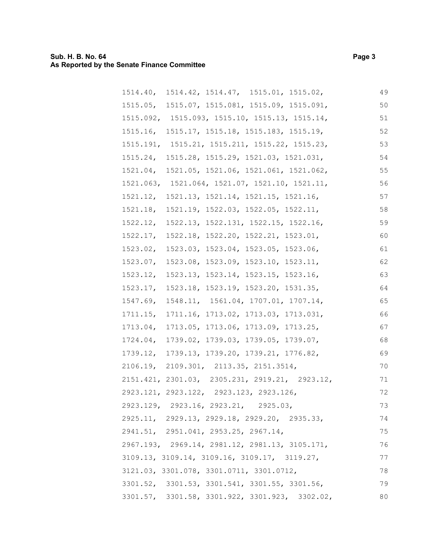| 1514.40, 1514.42, 1514.47, 1515.01, 1515.02,   | 49 |
|------------------------------------------------|----|
| 1515.05, 1515.07, 1515.081, 1515.09, 1515.091, | 50 |
| 1515.092, 1515.093, 1515.10, 1515.13, 1515.14, | 51 |
| 1515.16, 1515.17, 1515.18, 1515.183, 1515.19,  | 52 |
| 1515.191, 1515.21, 1515.211, 1515.22, 1515.23, | 53 |
| 1515.24, 1515.28, 1515.29, 1521.03, 1521.031,  | 54 |
| 1521.04, 1521.05, 1521.06, 1521.061, 1521.062, | 55 |
| 1521.063, 1521.064, 1521.07, 1521.10, 1521.11, | 56 |
| 1521.12, 1521.13, 1521.14, 1521.15, 1521.16,   | 57 |
| 1521.18, 1521.19, 1522.03, 1522.05, 1522.11,   | 58 |
| 1522.12, 1522.13, 1522.131, 1522.15, 1522.16,  | 59 |
| 1522.17, 1522.18, 1522.20, 1522.21, 1523.01,   | 60 |
| 1523.02, 1523.03, 1523.04, 1523.05, 1523.06,   | 61 |
| 1523.07, 1523.08, 1523.09, 1523.10, 1523.11,   | 62 |
| 1523.12, 1523.13, 1523.14, 1523.15, 1523.16,   | 63 |
| 1523.17, 1523.18, 1523.19, 1523.20, 1531.35,   | 64 |
| 1547.69, 1548.11, 1561.04, 1707.01, 1707.14,   | 65 |
| 1711.15, 1711.16, 1713.02, 1713.03, 1713.031,  | 66 |
| 1713.04, 1713.05, 1713.06, 1713.09, 1713.25,   | 67 |
| 1724.04, 1739.02, 1739.03, 1739.05, 1739.07,   | 68 |
| 1739.12, 1739.13, 1739.20, 1739.21, 1776.82,   | 69 |
| 2106.19, 2109.301, 2113.35, 2151.3514,         | 70 |
| 2151.421, 2301.03, 2305.231, 2919.21, 2923.12, | 71 |
| 2923.121, 2923.122, 2923.123, 2923.126,        | 72 |
| 2923.129, 2923.16, 2923.21, 2925.03,           | 73 |
| 2925.11, 2929.13, 2929.18, 2929.20, 2935.33,   | 74 |
| 2941.51, 2951.041, 2953.25, 2967.14,           | 75 |
| 2967.193, 2969.14, 2981.12, 2981.13, 3105.171, | 76 |
| 3109.13, 3109.14, 3109.16, 3109.17, 3119.27,   | 77 |
| 3121.03, 3301.078, 3301.0711, 3301.0712,       | 78 |
| 3301.52, 3301.53, 3301.541, 3301.55, 3301.56,  | 79 |
| 3301.57, 3301.58, 3301.922, 3301.923, 3302.02, | 80 |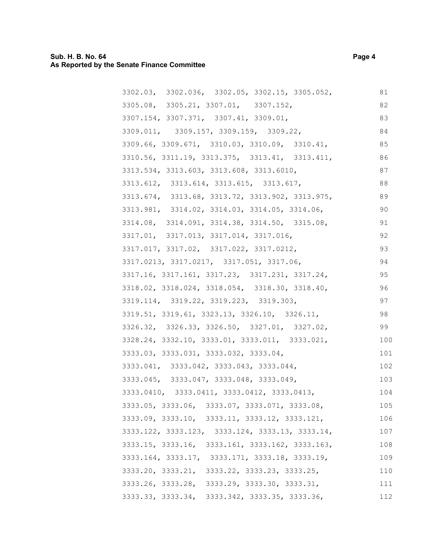## **Sub. H. B. No. 64 Page 4 As Reported by the Senate Finance Committee**

| 3302.03, 3302.036, 3302.05, 3302.15, 3305.052,  | 81  |
|-------------------------------------------------|-----|
| 3305.08, 3305.21, 3307.01, 3307.152,            | 82  |
| 3307.154, 3307.371, 3307.41, 3309.01,           | 83  |
| 3309.011, 3309.157, 3309.159, 3309.22,          | 84  |
| 3309.66, 3309.671, 3310.03, 3310.09, 3310.41,   | 85  |
| 3310.56, 3311.19, 3313.375, 3313.41, 3313.411,  | 86  |
| 3313.534, 3313.603, 3313.608, 3313.6010,        | 87  |
| 3313.612, 3313.614, 3313.615, 3313.617,         | 88  |
| 3313.674, 3313.68, 3313.72, 3313.902, 3313.975, | 89  |
| 3313.981, 3314.02, 3314.03, 3314.05, 3314.06,   | 90  |
| 3314.08, 3314.091, 3314.38, 3314.50, 3315.08,   | 91  |
| 3317.01, 3317.013, 3317.014, 3317.016,          | 92  |
| 3317.017, 3317.02, 3317.022, 3317.0212,         | 93  |
| 3317.0213, 3317.0217, 3317.051, 3317.06,        | 94  |
| 3317.16, 3317.161, 3317.23, 3317.231, 3317.24,  | 95  |
| 3318.02, 3318.024, 3318.054, 3318.30, 3318.40,  | 96  |
| 3319.114, 3319.22, 3319.223, 3319.303,          | 97  |
| 3319.51, 3319.61, 3323.13, 3326.10, 3326.11,    | 98  |
| 3326.32, 3326.33, 3326.50, 3327.01, 3327.02,    | 99  |
| 3328.24, 3332.10, 3333.01, 3333.011, 3333.021,  | 100 |
| 3333.03, 3333.031, 3333.032, 3333.04,           | 101 |
| 3333.041, 3333.042, 3333.043, 3333.044,         | 102 |
| 3333.045, 3333.047, 3333.048, 3333.049,         | 103 |
| 3333.0410, 3333.0411, 3333.0412, 3333.0413,     | 104 |
| 3333.05, 3333.06, 3333.07, 3333.071, 3333.08,   | 105 |
| 3333.09, 3333.10, 3333.11, 3333.12, 3333.121,   | 106 |
| 3333.122, 3333.123, 3333.124, 3333.13, 3333.14, | 107 |
| 3333.15, 3333.16, 3333.161, 3333.162, 3333.163, | 108 |
| 3333.164, 3333.17, 3333.171, 3333.18, 3333.19,  | 109 |
| 3333.20, 3333.21, 3333.22, 3333.23, 3333.25,    | 110 |
| 3333.26, 3333.28, 3333.29, 3333.30, 3333.31,    | 111 |
| 3333.33, 3333.34, 3333.342, 3333.35, 3333.36,   | 112 |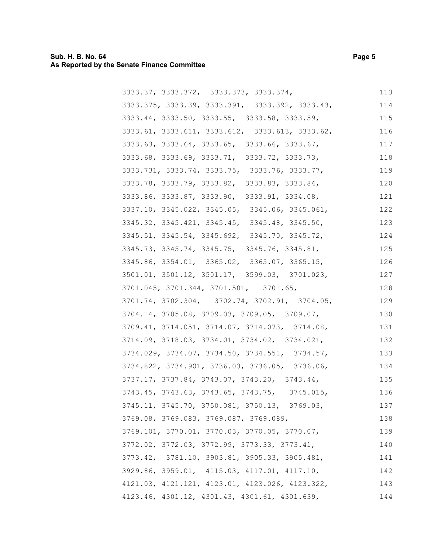## **Sub. H. B. No. 64 Page 5 As Reported by the Senate Finance Committee**

| 3333.37, 3333.372, 3333.373, 3333.374,          | 113 |
|-------------------------------------------------|-----|
| 3333.375, 3333.39, 3333.391, 3333.392, 3333.43, | 114 |
| 3333.44, 3333.50, 3333.55, 3333.58, 3333.59,    | 115 |
| 3333.61, 3333.611, 3333.612, 3333.613, 3333.62, | 116 |
| 3333.63, 3333.64, 3333.65, 3333.66, 3333.67,    | 117 |
| 3333.68, 3333.69, 3333.71, 3333.72, 3333.73,    | 118 |
| 3333.731, 3333.74, 3333.75, 3333.76, 3333.77,   | 119 |
| 3333.78, 3333.79, 3333.82, 3333.83, 3333.84,    | 120 |
| 3333.86, 3333.87, 3333.90, 3333.91, 3334.08,    | 121 |
| 3337.10, 3345.022, 3345.05, 3345.06, 3345.061,  | 122 |
| 3345.32, 3345.421, 3345.45, 3345.48, 3345.50,   | 123 |
| 3345.51, 3345.54, 3345.692, 3345.70, 3345.72,   | 124 |
| 3345.73, 3345.74, 3345.75, 3345.76, 3345.81,    | 125 |
| 3345.86, 3354.01, 3365.02, 3365.07, 3365.15,    | 126 |
| 3501.01, 3501.12, 3501.17, 3599.03, 3701.023,   | 127 |
| 3701.045, 3701.344, 3701.501, 3701.65,          | 128 |
| 3701.74, 3702.304, 3702.74, 3702.91, 3704.05,   | 129 |
| 3704.14, 3705.08, 3709.03, 3709.05, 3709.07,    | 130 |
| 3709.41, 3714.051, 3714.07, 3714.073, 3714.08,  | 131 |
| 3714.09, 3718.03, 3734.01, 3734.02, 3734.021,   | 132 |
| 3734.029, 3734.07, 3734.50, 3734.551, 3734.57,  | 133 |
| 3734.822, 3734.901, 3736.03, 3736.05, 3736.06,  | 134 |
| 3737.17, 3737.84, 3743.07, 3743.20, 3743.44,    | 135 |
| 3743.45, 3743.63, 3743.65, 3743.75, 3745.015,   | 136 |
| 3745.11, 3745.70, 3750.081, 3750.13, 3769.03,   | 137 |
| 3769.08, 3769.083, 3769.087, 3769.089,          | 138 |
| 3769.101, 3770.01, 3770.03, 3770.05, 3770.07,   | 139 |
| 3772.02, 3772.03, 3772.99, 3773.33, 3773.41,    | 140 |
| 3773.42, 3781.10, 3903.81, 3905.33, 3905.481,   | 141 |
| 3929.86, 3959.01, 4115.03, 4117.01, 4117.10,    | 142 |
| 4121.03, 4121.121, 4123.01, 4123.026, 4123.322, | 143 |
| 4123.46, 4301.12, 4301.43, 4301.61, 4301.639,   | 144 |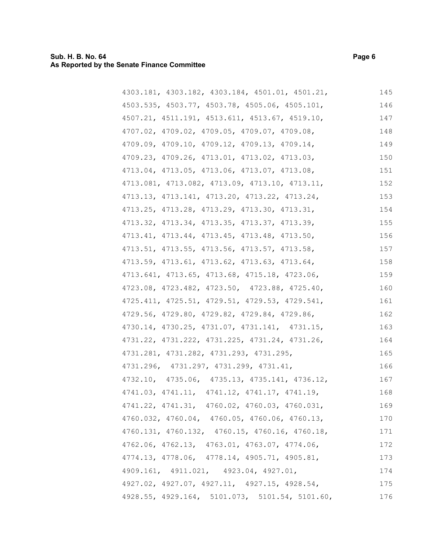| 4303.181, 4303.182, 4303.184, 4501.01, 4501.21, | 145 |
|-------------------------------------------------|-----|
| 4503.535, 4503.77, 4503.78, 4505.06, 4505.101,  | 146 |
| 4507.21, 4511.191, 4513.611, 4513.67, 4519.10,  | 147 |
| 4707.02, 4709.02, 4709.05, 4709.07, 4709.08,    | 148 |
| 4709.09, 4709.10, 4709.12, 4709.13, 4709.14,    | 149 |
| 4709.23, 4709.26, 4713.01, 4713.02, 4713.03,    | 150 |
| 4713.04, 4713.05, 4713.06, 4713.07, 4713.08,    | 151 |
| 4713.081, 4713.082, 4713.09, 4713.10, 4713.11,  | 152 |
| 4713.13, 4713.141, 4713.20, 4713.22, 4713.24,   | 153 |
| 4713.25, 4713.28, 4713.29, 4713.30, 4713.31,    | 154 |
| 4713.32, 4713.34, 4713.35, 4713.37, 4713.39,    | 155 |
| 4713.41, 4713.44, 4713.45, 4713.48, 4713.50,    | 156 |
| 4713.51, 4713.55, 4713.56, 4713.57, 4713.58,    | 157 |
| 4713.59, 4713.61, 4713.62, 4713.63, 4713.64,    | 158 |
| 4713.641, 4713.65, 4713.68, 4715.18, 4723.06,   | 159 |
| 4723.08, 4723.482, 4723.50, 4723.88, 4725.40,   | 160 |
| 4725.411, 4725.51, 4729.51, 4729.53, 4729.541,  | 161 |
| 4729.56, 4729.80, 4729.82, 4729.84, 4729.86,    | 162 |
| 4730.14, 4730.25, 4731.07, 4731.141, 4731.15,   | 163 |
| 4731.22, 4731.222, 4731.225, 4731.24, 4731.26,  | 164 |
| 4731.281, 4731.282, 4731.293, 4731.295,         | 165 |
| 4731.296, 4731.297, 4731.299, 4731.41,          | 166 |
| 4732.10, 4735.06, 4735.13, 4735.141, 4736.12,   | 167 |
| 4741.03, 4741.11, 4741.12, 4741.17, 4741.19,    | 168 |
| 4741.22, 4741.31, 4760.02, 4760.03, 4760.031,   | 169 |
| 4760.032, 4760.04, 4760.05, 4760.06, 4760.13,   | 170 |
| 4760.131, 4760.132, 4760.15, 4760.16, 4760.18,  | 171 |
| 4762.06, 4762.13, 4763.01, 4763.07, 4774.06,    | 172 |
| 4774.13, 4778.06, 4778.14, 4905.71, 4905.81,    | 173 |
| 4909.161, 4911.021, 4923.04, 4927.01,           | 174 |
| 4927.02, 4927.07, 4927.11, 4927.15, 4928.54,    | 175 |
| 4928.55, 4929.164, 5101.073, 5101.54, 5101.60,  | 176 |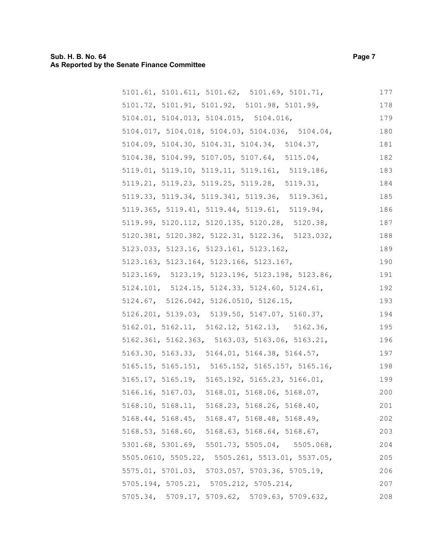## **Sub. H. B. No. 64 Page 7 As Reported by the Senate Finance Committee**

| 5101.61, 5101.611, 5101.62, 5101.69, 5101.71,   | 177 |
|-------------------------------------------------|-----|
| 5101.72, 5101.91, 5101.92, 5101.98, 5101.99,    | 178 |
| 5104.01, 5104.013, 5104.015, 5104.016,          | 179 |
| 5104.017, 5104.018, 5104.03, 5104.036, 5104.04, | 180 |
| 5104.09, 5104.30, 5104.31, 5104.34, 5104.37,    | 181 |
| 5104.38, 5104.99, 5107.05, 5107.64, 5115.04,    | 182 |
| 5119.01, 5119.10, 5119.11, 5119.161, 5119.186,  | 183 |
| 5119.21, 5119.23, 5119.25, 5119.28, 5119.31,    | 184 |
| 5119.33, 5119.34, 5119.341, 5119.36, 5119.361,  | 185 |
| 5119.365, 5119.41, 5119.44, 5119.61, 5119.94,   | 186 |
| 5119.99, 5120.112, 5120.135, 5120.28, 5120.38,  | 187 |
| 5120.381, 5120.382, 5122.31, 5122.36, 5123.032, | 188 |
| 5123.033, 5123.16, 5123.161, 5123.162,          | 189 |
| 5123.163, 5123.164, 5123.166, 5123.167,         | 190 |
| 5123.169, 5123.19, 5123.196, 5123.198, 5123.86, | 191 |
| 5124.101, 5124.15, 5124.33, 5124.60, 5124.61,   | 192 |
| 5124.67, 5126.042, 5126.0510, 5126.15,          | 193 |
| 5126.201, 5139.03, 5139.50, 5147.07, 5160.37,   | 194 |
| 5162.01, 5162.11, 5162.12, 5162.13, 5162.36,    | 195 |
| 5162.361, 5162.363, 5163.03, 5163.06, 5163.21,  | 196 |
| 5163.30, 5163.33, 5164.01, 5164.38, 5164.57,    | 197 |
| 5165.15, 5165.151, 5165.152, 5165.157, 5165.16, | 198 |
| 5165.17, 5165.19, 5165.192, 5165.23, 5166.01,   | 199 |
| 5166.16, 5167.03, 5168.01, 5168.06, 5168.07,    | 200 |
| 5168.10, 5168.11, 5168.23, 5168.26, 5168.40,    | 201 |
| 5168.44, 5168.45, 5168.47, 5168.48, 5168.49,    | 202 |
| 5168.53, 5168.60, 5168.63, 5168.64, 5168.67,    | 203 |
| 5301.68, 5301.69, 5501.73, 5505.04, 5505.068,   | 204 |
| 5505.0610, 5505.22, 5505.261, 5513.01, 5537.05, | 205 |
| 5575.01, 5701.03, 5703.057, 5703.36, 5705.19,   | 206 |
| 5705.194, 5705.21, 5705.212, 5705.214,          | 207 |
| 5705.34, 5709.17, 5709.62, 5709.63, 5709.632,   | 208 |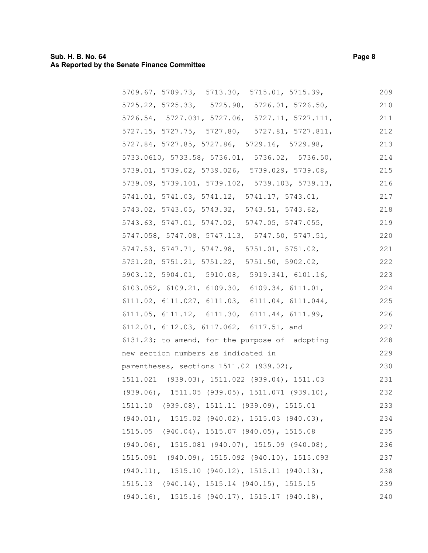## **Sub. H. B. No. 64 Page 8 As Reported by the Senate Finance Committee**

| 5709.67, 5709.73, 5713.30, 5715.01, 5715.39,                  | 209 |
|---------------------------------------------------------------|-----|
| 5725.22, 5725.33, 5725.98, 5726.01, 5726.50,                  | 210 |
| $5726.54$ , $5727.031$ , $5727.06$ , $5727.11$ , $5727.111$ , | 211 |
| 5727.15, 5727.75, 5727.80, 5727.81, 5727.811,                 | 212 |
| 5727.84, 5727.85, 5727.86, 5729.16, 5729.98,                  | 213 |
| 5733.0610, 5733.58, 5736.01, 5736.02, 5736.50,                | 214 |
| 5739.01, 5739.02, 5739.026, 5739.029, 5739.08,                | 215 |
| 5739.09, 5739.101, 5739.102, 5739.103, 5739.13,               | 216 |
| 5741.01, 5741.03, 5741.12, 5741.17, 5743.01,                  | 217 |
| 5743.02, 5743.05, 5743.32, 5743.51, 5743.62,                  | 218 |
| 5743.63, 5747.01, 5747.02, 5747.05, 5747.055,                 | 219 |
| 5747.058, 5747.08, 5747.113, 5747.50, 5747.51,                | 220 |
| 5747.53, 5747.71, 5747.98, 5751.01, 5751.02,                  | 221 |
| 5751.20, 5751.21, 5751.22, 5751.50, 5902.02,                  | 222 |
| 5903.12, 5904.01, 5910.08, 5919.341, 6101.16,                 | 223 |
| 6103.052, 6109.21, 6109.30, 6109.34, 6111.01,                 | 224 |
| $6111.02$ , $6111.027$ , $6111.03$ , $6111.04$ , $6111.044$ , | 225 |
| 6111.05, 6111.12, 6111.30, 6111.44, 6111.99,                  | 226 |
| 6112.01, 6112.03, 6117.062, 6117.51, and                      | 227 |
| 6131.23; to amend, for the purpose of adopting                | 228 |
| new section numbers as indicated in                           | 229 |
| parentheses, sections 1511.02 (939.02),                       | 230 |
| 1511.021 (939.03), 1511.022 (939.04), 1511.03                 | 231 |
| $(939.06)$ , 1511.05 $(939.05)$ , 1511.071 $(939.10)$ ,       | 232 |
| 1511.10 (939.08), 1511.11 (939.09), 1515.01                   | 233 |
| $(940.01)$ , 1515.02 (940.02), 1515.03 (940.03),              | 234 |
| 1515.05 (940.04), 1515.07 (940.05), 1515.08                   | 235 |
| $(940.06)$ , 1515.081 $(940.07)$ , 1515.09 $(940.08)$ ,       | 236 |
| 1515.091 (940.09), 1515.092 (940.10), 1515.093                | 237 |
| $(940.11)$ , 1515.10 $(940.12)$ , 1515.11 $(940.13)$ ,        | 238 |
| 1515.13 (940.14), 1515.14 (940.15), 1515.15                   | 239 |
| $(940.16)$ , 1515.16 $(940.17)$ , 1515.17 $(940.18)$ ,        | 240 |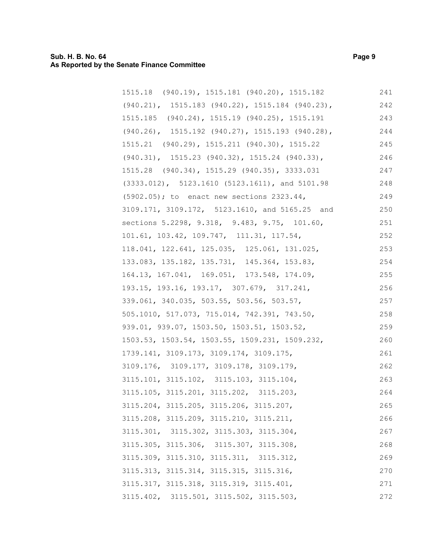## **Sub. H. B. No. 64 Page 9 As Reported by the Senate Finance Committee**

| 1515.18 (940.19), 1515.181 (940.20), 1515.182            | 241 |
|----------------------------------------------------------|-----|
| $(940.21)$ , 1515.183 (940.22), 1515.184 (940.23),       | 242 |
| 1515.185 (940.24), 1515.19 (940.25), 1515.191            | 243 |
| $(940.26)$ , 1515.192 $(940.27)$ , 1515.193 $(940.28)$ , | 244 |
| 1515.21 (940.29), 1515.211 (940.30), 1515.22             | 245 |
| $(940.31)$ , 1515.23 $(940.32)$ , 1515.24 $(940.33)$ ,   | 246 |
| 1515.28 (940.34), 1515.29 (940.35), 3333.031             | 247 |
| $(3333.012)$ , 5123.1610 (5123.1611), and 5101.98        | 248 |
| (5902.05); to enact new sections 2323.44,                | 249 |
| 3109.171, 3109.172, 5123.1610, and 5165.25 and           | 250 |
| sections 5.2298, 9.318, 9.483, 9.75, 101.60,             | 251 |
| 101.61, 103.42, 109.747, 111.31, 117.54,                 | 252 |
| 118.041, 122.641, 125.035, 125.061, 131.025,             | 253 |
| 133.083, 135.182, 135.731, 145.364, 153.83,              | 254 |
| 164.13, 167.041, 169.051, 173.548, 174.09,               | 255 |
| 193.15, 193.16, 193.17, 307.679, 317.241,                | 256 |
| 339.061, 340.035, 503.55, 503.56, 503.57,                | 257 |
| 505.1010, 517.073, 715.014, 742.391, 743.50,             | 258 |
| 939.01, 939.07, 1503.50, 1503.51, 1503.52,               | 259 |
| 1503.53, 1503.54, 1503.55, 1509.231, 1509.232,           | 260 |
| 1739.141, 3109.173, 3109.174, 3109.175,                  | 261 |
| 3109.176, 3109.177, 3109.178, 3109.179,                  | 262 |
| 3115.101, 3115.102, 3115.103, 3115.104,                  | 263 |
| 3115.105, 3115.201, 3115.202, 3115.203,                  | 264 |
| 3115.204, 3115.205, 3115.206, 3115.207,                  | 265 |
| 3115.208, 3115.209, 3115.210, 3115.211,                  | 266 |
| 3115.301, 3115.302, 3115.303, 3115.304,                  | 267 |
| 3115.305, 3115.306, 3115.307, 3115.308,                  | 268 |
| 3115.309, 3115.310, 3115.311, 3115.312,                  | 269 |
| 3115.313, 3115.314, 3115.315, 3115.316,                  | 270 |
| 3115.317, 3115.318, 3115.319, 3115.401,                  | 271 |
| 3115.402, 3115.501, 3115.502, 3115.503,                  | 272 |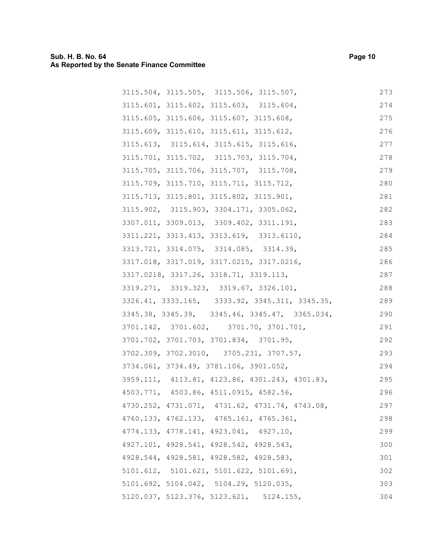| 3115.504, 3115.505, 3115.506, 3115.507,             | 273 |
|-----------------------------------------------------|-----|
| 3115.601, 3115.602, 3115.603, 3115.604,             | 274 |
| 3115.605, 3115.606, 3115.607, 3115.608,             | 275 |
| 3115.609, 3115.610, 3115.611, 3115.612,             | 276 |
| 3115.613, 3115.614, 3115.615, 3115.616,             | 277 |
| 3115.701, 3115.702, 3115.703, 3115.704,             | 278 |
| 3115.705, 3115.706, 3115.707, 3115.708,             | 279 |
| 3115.709, 3115.710, 3115.711, 3115.712,             | 280 |
| 3115.713, 3115.801, 3115.802, 3115.901,             | 281 |
| 3115.902, 3115.903, 3304.171, 3305.062,             | 282 |
| 3307.011, 3309.013, 3309.402, 3311.191,             | 283 |
| 3311.221, 3313.413, 3313.619, 3313.6110,            | 284 |
| 3313.721, 3314.075, 3314.085, 3314.39,              | 285 |
| 3317.018, 3317.019, 3317.0215, 3317.0216,           | 286 |
| 3317.0218, 3317.26, 3318.71, 3319.113,              | 287 |
| 3319.271, 3319.323, 3319.67, 3326.101,              | 288 |
| 3326.41, 3333.165, 3333.92, 3345.311, 3345.35,      | 289 |
| 3345.38, 3345.39, 3345.46, 3345.47, 3365.034,       | 290 |
| 3701.142, 3701.602, 3701.70, 3701.701,              | 291 |
| 3701.702, 3701.703, 3701.834, 3701.95,              | 292 |
| 3702.309, 3702.3010, 3705.231, 3707.57,             | 293 |
| 3734.061, 3734.49, 3781.106, 3901.052,              | 294 |
| 3959.111, 4113.81, 4123.86, 4301.243, 4301.83,      | 295 |
| 4503.771, 4503.86, 4511.0915, 4582.56,              | 296 |
| 4730.252, 4731.071, 4731.62, 4731.74, 4743.08,      | 297 |
| 4760.133, 4762.133, 4765.161, 4765.361,             | 298 |
| 4774.133, 4778.141, 4923.041, 4927.10,              | 299 |
| 4927.101, 4928.541, 4928.542, 4928.543,             | 300 |
| 4928.544, 4928.581, 4928.582, 4928.583,             | 301 |
| 5101.612, 5101.621, 5101.622, 5101.691,             | 302 |
| 5101.692, 5104.042, 5104.29, 5120.035,              | 303 |
| $5120.037$ , $5123.376$ , $5123.621$ , $5124.155$ , | 304 |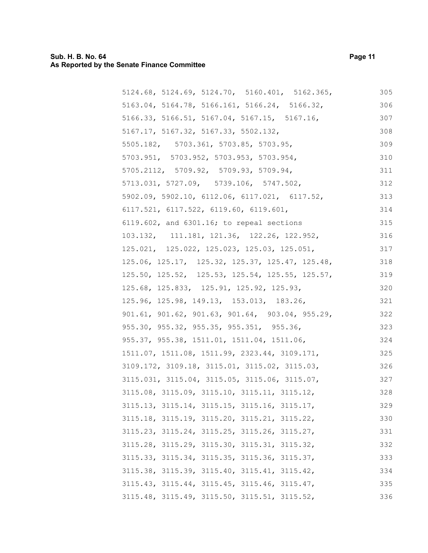#### **Sub. H. B. No. 64 Page 11 As Reported by the Senate Finance Committee**

5124.68, 5124.69, 5124.70, 5160.401, 5162.365, 5163.04, 5164.78, 5166.161, 5166.24, 5166.32, 5166.33, 5166.51, 5167.04, 5167.15, 5167.16, 5167.17, 5167.32, 5167.33, 5502.132, 5505.182, 5703.361, 5703.85, 5703.95, 5703.951, 5703.952, 5703.953, 5703.954, 5705.2112, 5709.92, 5709.93, 5709.94, 5713.031, 5727.09, 5739.106, 5747.502, 5902.09, 5902.10, 6112.06, 6117.021, 6117.52, 6117.521, 6117.522, 6119.60, 6119.601, 6119.602, and 6301.16; to repeal sections 103.132, 111.181, 121.36, 122.26, 122.952, 125.021, 125.022, 125.023, 125.03, 125.051, 125.06, 125.17, 125.32, 125.37, 125.47, 125.48, 125.50, 125.52, 125.53, 125.54, 125.55, 125.57, 125.68, 125.833, 125.91, 125.92, 125.93, 125.96, 125.98, 149.13, 153.013, 183.26, 901.61, 901.62, 901.63, 901.64, 903.04, 955.29, 955.30, 955.32, 955.35, 955.351, 955.36, 955.37, 955.38, 1511.01, 1511.04, 1511.06, 1511.07, 1511.08, 1511.99, 2323.44, 3109.171, 3109.172, 3109.18, 3115.01, 3115.02, 3115.03, 3115.031, 3115.04, 3115.05, 3115.06, 3115.07, 3115.08, 3115.09, 3115.10, 3115.11, 3115.12, 3115.13, 3115.14, 3115.15, 3115.16, 3115.17, 3115.18, 3115.19, 3115.20, 3115.21, 3115.22, 3115.23, 3115.24, 3115.25, 3115.26, 3115.27, 3115.28, 3115.29, 3115.30, 3115.31, 3115.32, 3115.33, 3115.34, 3115.35, 3115.36, 3115.37, 3115.38, 3115.39, 3115.40, 3115.41, 3115.42, 3115.43, 3115.44, 3115.45, 3115.46, 3115.47, 3115.48, 3115.49, 3115.50, 3115.51, 3115.52, 305 306 307 308 309 310 311 312 313 314 315 316 317 318 319 320 321 322 323 324 325 326 327 328 329 330 331 332 333 334 335 336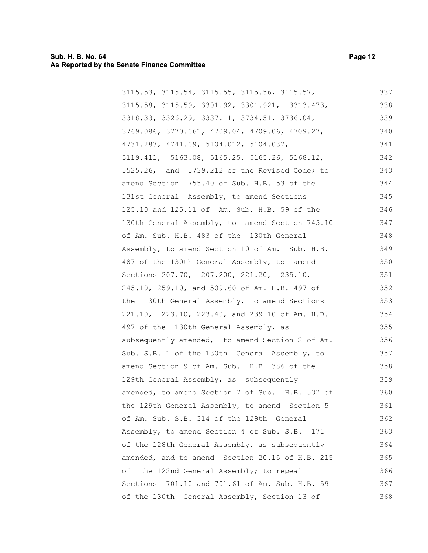#### **Sub. H. B. No. 64 Page 12 As Reported by the Senate Finance Committee**

3115.53, 3115.54, 3115.55, 3115.56, 3115.57, 3115.58, 3115.59, 3301.92, 3301.921, 3313.473, 3318.33, 3326.29, 3337.11, 3734.51, 3736.04, 3769.086, 3770.061, 4709.04, 4709.06, 4709.27, 4731.283, 4741.09, 5104.012, 5104.037, 5119.411, 5163.08, 5165.25, 5165.26, 5168.12, 5525.26, and 5739.212 of the Revised Code; to amend Section 755.40 of Sub. H.B. 53 of the 131st General Assembly, to amend Sections 125.10 and 125.11 of Am. Sub. H.B. 59 of the 130th General Assembly, to amend Section 745.10 of Am. Sub. H.B. 483 of the 130th General Assembly, to amend Section 10 of Am. Sub. H.B. 487 of the 130th General Assembly, to amend Sections 207.70, 207.200, 221.20, 235.10, 245.10, 259.10, and 509.60 of Am. H.B. 497 of the 130th General Assembly, to amend Sections 221.10, 223.10, 223.40, and 239.10 of Am. H.B. 497 of the 130th General Assembly, as subsequently amended, to amend Section 2 of Am. Sub. S.B. 1 of the 130th General Assembly, to amend Section 9 of Am. Sub. H.B. 386 of the 129th General Assembly, as subsequently amended, to amend Section 7 of Sub. H.B. 532 of the 129th General Assembly, to amend Section 5 of Am. Sub. S.B. 314 of the 129th General Assembly, to amend Section 4 of Sub. S.B. 171 of the 128th General Assembly, as subsequently amended, and to amend Section 20.15 of H.B. 215 of the 122nd General Assembly; to repeal Sections 701.10 and 701.61 of Am. Sub. H.B. 59 of the 130th General Assembly, Section 13 of 337 338 339 340 341 342 343 344 345 346 347 348 349 350 351 352 353 354 355 356 357 358 359 360 361 362 363 364 365 366 367 368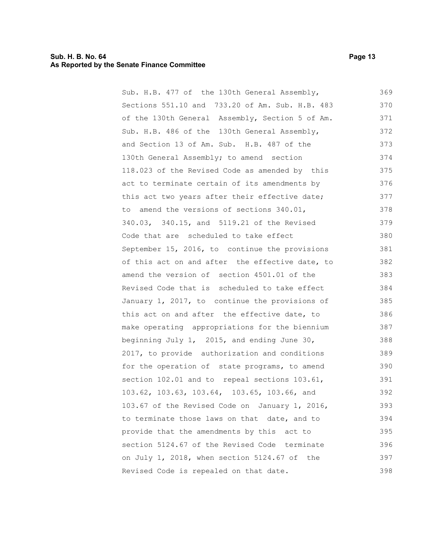#### **Sub. H. B. No. 64 Page 13 As Reported by the Senate Finance Committee**

Sub. H.B. 477 of the 130th General Assembly, Sections 551.10 and 733.20 of Am. Sub. H.B. 483 of the 130th General Assembly, Section 5 of Am. Sub. H.B. 486 of the 130th General Assembly, and Section 13 of Am. Sub. H.B. 487 of the 130th General Assembly; to amend section 118.023 of the Revised Code as amended by this act to terminate certain of its amendments by this act two years after their effective date; to amend the versions of sections 340.01, 340.03, 340.15, and 5119.21 of the Revised Code that are scheduled to take effect September 15, 2016, to continue the provisions of this act on and after the effective date, to amend the version of section 4501.01 of the Revised Code that is scheduled to take effect January 1, 2017, to continue the provisions of this act on and after the effective date, to make operating appropriations for the biennium beginning July 1, 2015, and ending June 30, 2017, to provide authorization and conditions for the operation of state programs, to amend section 102.01 and to repeal sections 103.61, 103.62, 103.63, 103.64, 103.65, 103.66, and 103.67 of the Revised Code on January 1, 2016, to terminate those laws on that date, and to provide that the amendments by this act to section 5124.67 of the Revised Code terminate on July 1, 2018, when section 5124.67 of the Revised Code is repealed on that date. 369 370 371 372 373 374 375 376 377 378 379 380 381 382 383 384 385 386 387 388 389 390 391 392 393 394 395 396 397 398